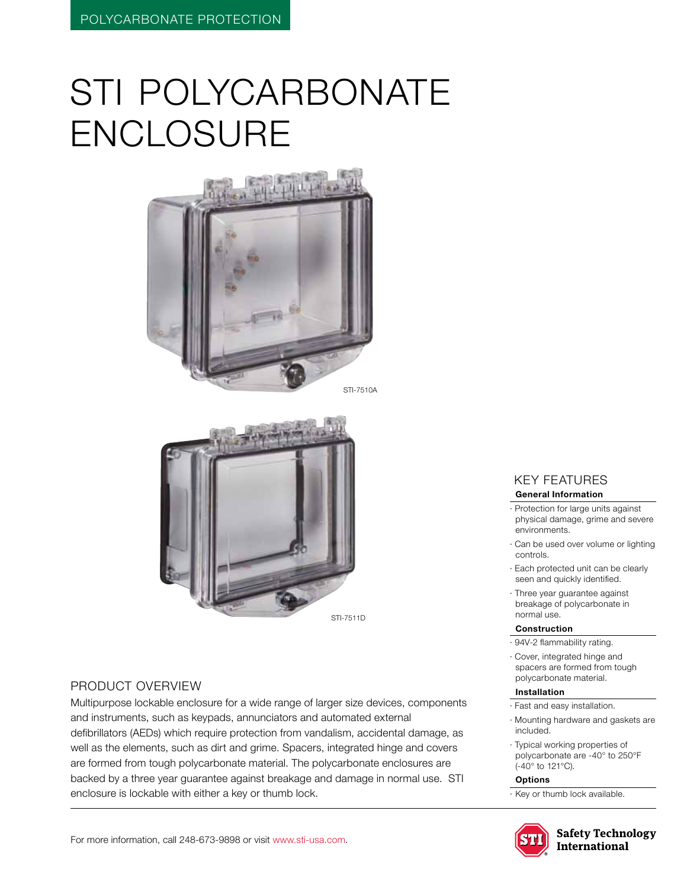# STI POLYCARBONATE **ENCLOSURE**





#### Product Overview

Multipurpose lockable enclosure for a wide range of larger size devices, components and instruments, such as keypads, annunciators and automated external defibrillators (AEDs) which require protection from vandalism, accidental damage, as well as the elements, such as dirt and grime. Spacers, integrated hinge and covers are formed from tough polycarbonate material. The polycarbonate enclosures are backed by a three year guarantee against breakage and damage in normal use. STI enclosure is lockable with either a key or thumb lock.

### KEY features

#### **General Information**

- · Protection for large units against physical damage, grime and severe environments.
- · Can be used over volume or lighting controls.
- · Each protected unit can be clearly seen and quickly identified.
- · Three year guarantee against breakage of polycarbonate in normal use.

#### **Construction**

- · 94V-2 flammability rating.
- · Cover, integrated hinge and spacers are formed from tough polycarbonate material.

#### **Installation**

- · Fast and easy installation.
- · Mounting hardware and gaskets are included.
- · Typical working properties of polycarbonate are -40° to 250°F (-40° to 121°C).

#### **Options**

· Key or thumb lock available.